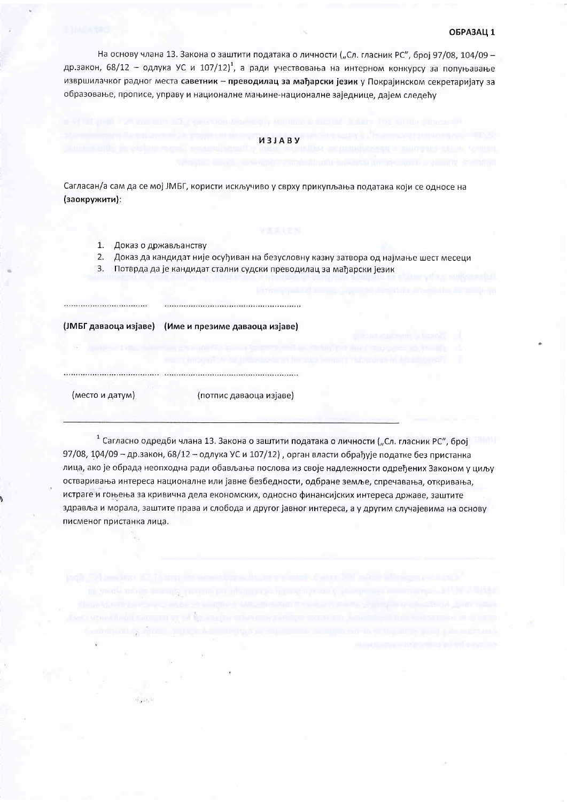### ОБРАЗАЦ 1

На основу члана 13. Закона о заштити података о личности ("Сл. гласник РС", број 97/08, 104/09 др.закон, 68/12 - одлука УС и 107/12)<sup>1</sup>, а ради учествовања на интерном конкурсу за попуњавање извршилачког радног места саветник - преводилац за мађарски језик у Покрајинском секретаријату за образовање, прописе, управу и националне мањине-националне заједнице, дајем следећу

### *M3JABY*

Сагласан/а сам да се мој ЈМБГ, користи искључиво у сврху прикупљања података који се односе на (заокружити):

- 1. Доказ о држављанству
- Доказ да кандидат није осуђиван на безусловну казну затвора од најмање шест месеци  $2.$
- 3. Потврда да је кандидат стални судски преводилац за мађарски језик

(ЈМБГ даваоца изјаве) (Име и презиме даваоца изјаве)

(место и датум)

Supply.

(потпис даваоца изјаве)

<sup>1</sup> Сагласно одредби члана 13. Закона о заштити података о личности ("Сл. гласник РС", број 97/08, 104/09 - др.закон, 68/12 - одлука УС и 107/12), орган власти обрађује податке без пристанка лица, ако је обрада неопходна ради обављања послова из своје надлежности одређених Законом у циљу остваривања интереса националне или јавне безбедности, одбране земље, спречавања, откривања, истраге и гоњења за кривична дела економских, односно финансијских интереса државе, заштите здравља и морала, заштите права и слобода и другог јавног интереса, а у другим случајевима на основу писменог пристанка лица.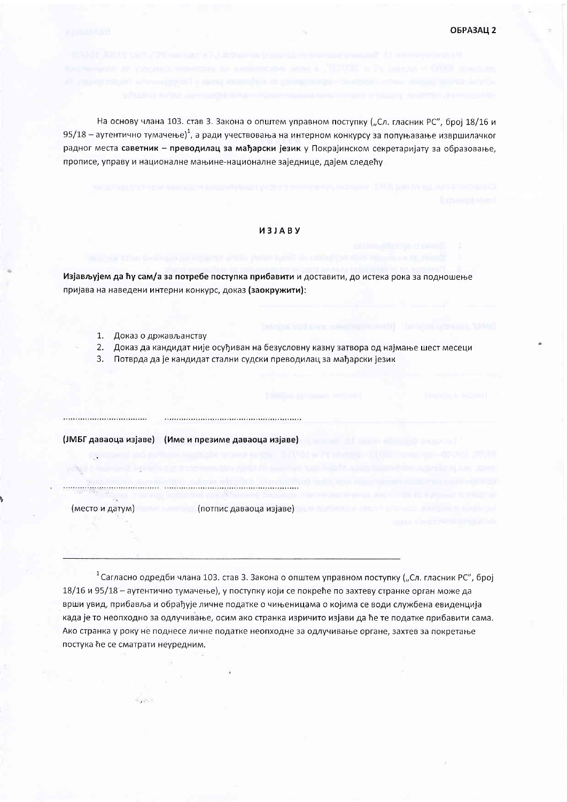На основу члана 103. став 3. Закона о општем управном поступку ("Сл. гласник РС", број 18/16 и 95/18 – аутентично тумачење)<sup>1</sup>, а ради учествовања на интерном конкурсу за попуњавање извршилачког радног места саветник - преводилац за мађарски језик у Покрајинском секретаријату за образовање, прописе, управу и националне мањине-националне заједнице, дајем следећу

## *M3JABY*

Изјављујем да ћу сам/а за потребе поступка прибавити и доставити, до истека рока за подношење пријава на наведени интерни конкурс, доказ (заокружити):

- 1. Доказ о држављанству
- $2.$ Доказ да кандидат није осуђиван на безусловну казну затвора од најмање шест месеци
- 3. Потврда да је кандидат стални судски преводилац за мађарски језик

(ЈМБГ даваоца изјаве) (Име и презиме даваоца изјаве)

<u>и потпис даваоца изјаве)</u> и потпис даваоца изјаве) и поти (место и датум)

 $+6.7121 +$ 

<sup>1</sup> Сагласно одредби члана 103. став 3. Закона о општем управном поступку ("Сл. гласник РС", број 18/16 и 95/18 - аутентично тумачење), у поступку који се покреће по захтеву странке орган може да врши увид, прибавља и обрађује личне податке о чињеницама о којима се води службена евиденција када је то неопходно за одлучивање, осим ако странка изричито изјави да ће те податке прибавити сама. Ако странка у року не поднесе личне податке неопходне за одлучивање органе, захтев за покретање постука ће се сматрати неуредним.